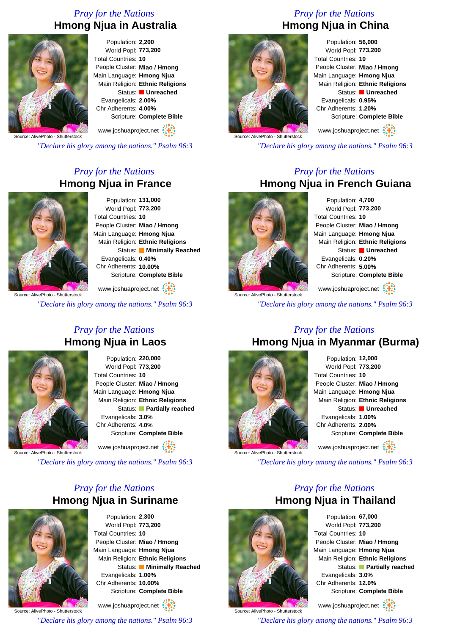### *Pray for the Nations* **Hmong Njua in Australia**



Population: **2,200** World Popl: **773,200** Total Countries: **10** People Cluster: **Miao / Hmong** Main Language: **Hmong Njua** Main Religion: **Ethnic Religions** Status: **Unreached** Evangelicals: **2.00%** Chr Adherents: **4.00%** Scripture: **Complete Bible**

www.joshuaproject.net

Source: AlivePhoto - Shutterstock

*"Declare his glory among the nations." Psalm 96:3*

### *Pray for the Nations* **Hmong Njua in France**



Population: **131,000** World Popl: **773,200** Total Countries: **10** People Cluster: **Miao / Hmong** Main Language: **Hmong Njua** Main Religion: **Ethnic Religions** Status: **Minimally Reached** Evangelicals: **0.40%** Chr Adherents: **10.00%** Scripture: **Complete Bible**

www.joshuaproject.net

*"Declare his glory among the nations." Psalm 96:3*

# *Pray for the Nations* **Hmong Njua in China**



Population: **56,000** World Popl: **773,200** Total Countries: **10** People Cluster: **Miao / Hmong** Main Language: **Hmong Njua** Main Religion: **Ethnic Religions** Status: **Unreached** Evangelicals: **0.95%** Chr Adherents: **1.20%** Scripture: **Complete Bible**

www.joshuaproject.net

*"Declare his glory among the nations." Psalm 96:3*

### *Pray for the Nations* **Hmong Njua in French Guiana**



Source: AlivePhoto - Shutterstock

Population: **4,700** World Popl: **773,200** Total Countries: **10** People Cluster: **Miao / Hmong** Main Language: **Hmong Njua** Main Religion: **Ethnic Religions** Status: **Unreached** Evangelicals: **0.20%** Chr Adherents: **5.00%** Scripture: **Complete Bible**

www.joshuaproject.net

*"Declare his glory among the nations." Psalm 96:3*

*Pray for the Nations* **Hmong Njua in Laos**

Population: **220,000** World Popl: **773,200** Total Countries: **10** People Cluster: **Miao / Hmong** Main Language: **Hmong Njua** Main Religion: **Ethnic Religions** Status: **Partially reached** Evangelicals: **3.0%** Chr Adherents: **4.0%** Scripture: **Complete Bible** www.joshuaproject.net

Source: AlivePhoto - Shutterstock

*"Declare his glory among the nations." Psalm 96:3*

### *Pray for the Nations* **Hmong Njua in Suriname**



Population: **2,300** World Popl: **773,200** Total Countries: **10** People Cluster: **Miao / Hmong** Main Language: **Hmong Njua** Main Religion: **Ethnic Religions** Status: **Minimally Reached** Evangelicals: **1.00%** Chr Adherents: **10.00%** Scripture: **Complete Bible** www.joshuaproject.net

Source: AlivePhoto - Shutterstock

*"Declare his glory among the nations." Psalm 96:3*

# *Pray for the Nations* **Hmong Njua in Myanmar (Burma)**



Population: **12,000** World Popl: **773,200** Total Countries: **10** People Cluster: **Miao / Hmong** Main Language: **Hmong Njua** Main Religion: **Ethnic Religions** Status: **Unreached** Evangelicals: **1.00%** Chr Adherents: **2.00%** Scripture: **Complete Bible** www.joshuaproject.net

*"Declare his glory among the nations." Psalm 96:3*

*Pray for the Nations*



Population: **67,000** World Popl: **773,200** Total Countries: **10** People Cluster: **Miao / Hmong** Main Language: **Hmong Njua** Main Religion: **Ethnic Religions** Status: **Partially reached** Evangelicals: **3.0%** Chr Adherents: **12.0%** Scripture: **Complete Bible**

www.joshuaproject.net

*"Declare his glory among the nations." Psalm 96:3*